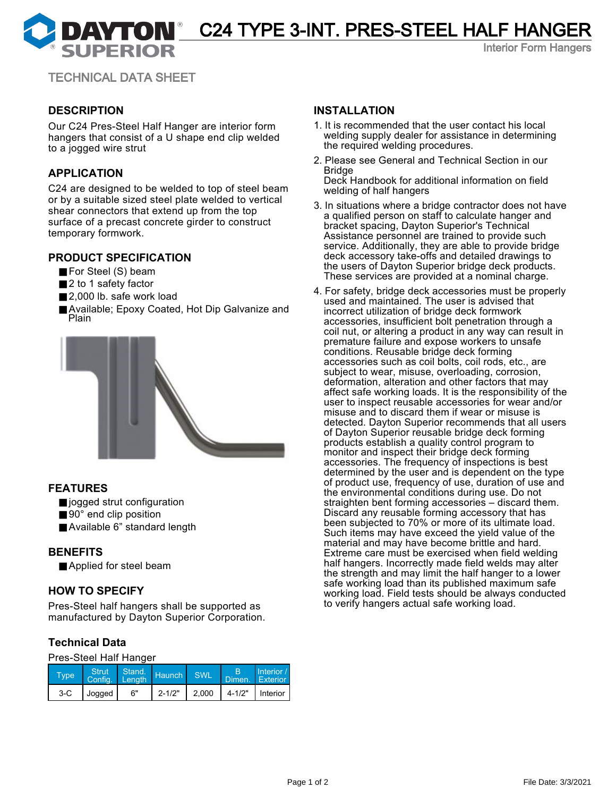**DAYTON** C24 TYPE 3-INT. PRES-STEEL HALF HANGER

Interior Form Hangers

TECHNICAL DATA SHEET

### **DESCRIPTION**

Our C24 Pres-Steel Half Hanger are interior form hangers that consist of a U shape end clip welded to a jogged wire strut

#### **APPLICATION**

C24 are designed to be welded to top of steel beam or by a suitable sized steel plate welded to vertical shear connectors that extend up from the top surface of a precast concrete girder to construct temporary formwork.

#### **PRODUCT SPECIFICATION**

- For Steel (S) beam
- 2 to 1 safety factor
- 2,000 lb. safe work load
- Available; Epoxy Coated, Hot Dip Galvanize and Plain



#### **FEATURES**

- jogged strut configuration
- 90° end clip position
- Available 6" standard length

#### **BENEFITS**

■ Applied for steel beam

#### **HOW TO SPECIFY**

Pres-Steel half hangers shall be supported as manufactured by Dayton Superior Corporation.

# **Technical Data**

#### Pres-Steel Half Hanger

| Type  |               | Strut Stand. Haunch |            | SWL | Dimen. Exterior                       | Interior / |
|-------|---------------|---------------------|------------|-----|---------------------------------------|------------|
| $3-C$ | <b>Jogged</b> | 6"                  | $2 - 1/2"$ |     | 2.000 $\vert$ 4-1/2" $\vert$ Interior |            |

#### **INSTALLATION**

- 1. It is recommended that the user contact his local welding supply dealer for assistance in determining the required welding procedures.
- 2. Please see General and Technical Section in our Bridge

Deck Handbook for additional information on field welding of half hangers

- 3. In situations where a bridge contractor does not have a qualified person on staff to calculate hanger and bracket spacing, Dayton Superior's Technical Assistance personnel are trained to provide such service. Additionally, they are able to provide bridge deck accessory take-offs and detailed drawings to the users of Dayton Superior bridge deck products. These services are provided at a nominal charge.
- 4. For safety, bridge deck accessories must be properly used and maintained. The user is advised that incorrect utilization of bridge deck formwork accessories, insufficient bolt penetration through a coil nut, or altering a product in any way can result in premature failure and expose workers to unsafe conditions. Reusable bridge deck forming accessories such as coil bolts, coil rods, etc., are subject to wear, misuse, overloading, corrosion, deformation, alteration and other factors that may affect safe working loads. It is the responsibility of the user to inspect reusable accessories for wear and/or misuse and to discard them if wear or misuse is detected. Dayton Superior recommends that all users of Dayton Superior reusable bridge deck forming products establish a quality control program to monitor and inspect their bridge deck forming accessories. The frequency of inspections is best determined by the user and is dependent on the type of product use, frequency of use, duration of use and the environmental conditions during use. Do not straighten bent forming accessories – discard them. Discard any reusable forming accessory that has been subjected to 70% or more of its ultimate load. Such items may have exceed the yield value of the material and may have become brittle and hard. Extreme care must be exercised when field welding half hangers. Incorrectly made field welds may alter the strength and may limit the half hanger to a lower safe working load than its published maximum safe working load. Field tests should be always conducted to verify hangers actual safe working load.